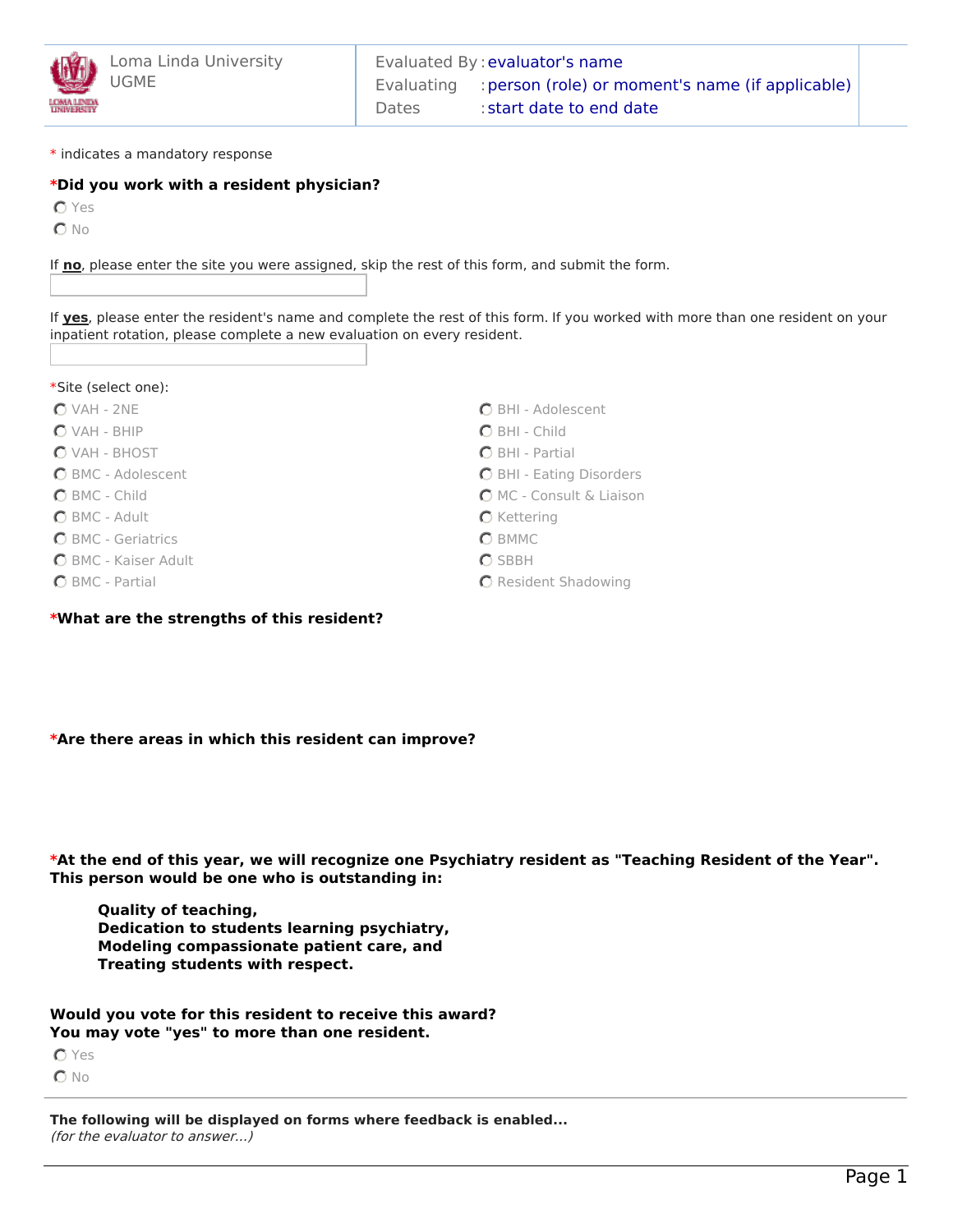

\* indicates a mandatory response

## **\*Did you work with a resident physician?**

**O** Yes

 $O$  No

If **no**, please enter the site you were assigned, skip the rest of this form, and submit the form.

If **yes**, please enter the resident's name and complete the rest of this form. If you worked with more than one resident on your inpatient rotation, please complete a new evaluation on every resident.

- $O$  VAH 2NE
- VAH BHIP
- VAH BHOST
- BMC Adolescent
- BMC Child
- BMC Adult
- **O** BMC Geriatrics
- BMC Kaiser Adult
- BMC Partial
- **\*What are the strengths of this resident?**
- BHI Adolescent
- BHI Child
- $O$  BHI Partial
- BHI Eating Disorders
- MC Consult & Liaison
- $O$  Kettering
- **O** BMMC
- $O$  SBBH
- **O** Resident Shadowing

**\*Are there areas in which this resident can improve?**

\*At the end of this year, we will recognize one Psychiatry resident as "Teaching Resident of the Year". **This person would be one who is outstanding in:**

**Quality of teaching, Dedication to students learning psychiatry, Modeling compassionate patient care, and Treating students with respect.**

**Would you vote for this resident to receive this award? You may vote "yes" to more than one resident.**

**O** Yes  $O$  No

**The following will be displayed on forms where feedback is enabled...** (for the evaluator to answer...)